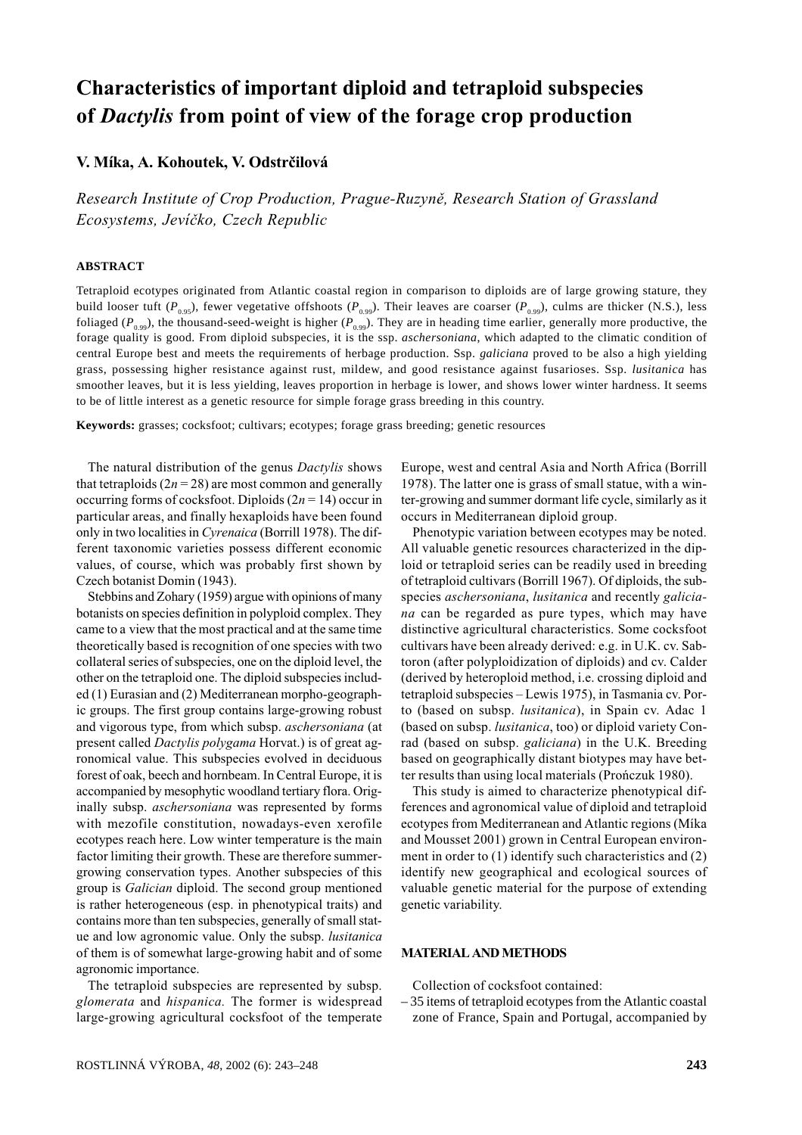# Characteristics of important diploid and tetraploid subspecies of Dactylis from point of view of the forage crop production

# V. Míka, A. Kohoutek, V. Odstrčilová

Research Institute of Crop Production, Prague-Ruzyně, Research Station of Grassland Ecosystems, Jevíčko, Czech Republic

## **ABSTRACT**

Tetraploid ecotypes originated from Atlantic coastal region in comparison to diploids are of large growing stature, they build looser tuft ( $P_{0.95}$ ), fewer vegetative offshoots ( $P_{0.99}$ ). Their leaves are coarser ( $P_{0.99}$ ), culms are thicker (N.S.), less foliaged ( $P_{0.99}$ ), the thousand-seed-weight is higher ( $P_{0.99}$ ). They are in heading time earlier, generally more productive, the forage quality is good. From diploid subspecies, it is the ssp. *aschersoniana*, which adapted to the climatic condition of central Europe best and meets the requirements of herbage production. Ssp. *galiciana* proved to be also a high yielding grass, possessing higher resistance against rust, mildew, and good resistance against fusarioses. Ssp. *lusitanica* has smoother leaves, but it is less yielding, leaves proportion in herbage is lower, and shows lower winter hardness. It seems to be of little interest as a genetic resource for simple forage grass breeding in this country.

**Keywords:** grasses; cocksfoot; cultivars; ecotypes; forage grass breeding; genetic resources

The natural distribution of the genus Dactylis shows that tetraploids  $(2n = 28)$  are most common and generally occurring forms of cocksfoot. Diploids  $(2n = 14)$  occur in particular areas, and finally hexaploids have been found only in two localities in Cyrenaica (Borrill 1978). The different taxonomic varieties possess different economic values, of course, which was probably first shown by Czech botanist Domin (1943).

Stebbins and Zohary (1959) argue with opinions of many botanists on species definition in polyploid complex. They came to a view that the most practical and at the same time theoretically based is recognition of one species with two collateral series of subspecies, one on the diploid level, the other on the tetraploid one. The diploid subspecies included (1) Eurasian and (2) Mediterranean morpho-geographic groups. The first group contains large-growing robust and vigorous type, from which subsp. *aschersoniana* (at present called *Dactylis polygama* Horvat.) is of great agronomical value. This subspecies evolved in deciduous forest of oak, beech and hornbeam. In Central Europe, it is accompanied by mesophytic woodland tertiary flora. Originally subsp. *aschersoniana* was represented by forms with mezofile constitution, nowadays-even xerofile ecotypes reach here. Low winter temperature is the main factor limiting their growth. These are therefore summergrowing conservation types. Another subspecies of this group is Galician diploid. The second group mentioned is rather heterogeneous (esp. in phenotypical traits) and contains more than ten subspecies, generally of small statue and low agronomic value. Only the subsp. lusitanica of them is of somewhat large-growing habit and of some agronomic importance.

The tetraploid subspecies are represented by subsp. glomerata and hispanica. The former is widespread large-growing agricultural cocksfoot of the temperate Europe, west and central Asia and North Africa (Borrill 1978). The latter one is grass of small statue, with a winter-growing and summer dormant life cycle, similarly as it occurs in Mediterranean diploid group.

Phenotypic variation between ecotypes may be noted. All valuable genetic resources characterized in the diploid or tetraploid series can be readily used in breeding of tetraploid cultivars (Borrill 1967). Of diploids, the subspecies aschersoniana, lusitanica and recently galiciana can be regarded as pure types, which may have distinctive agricultural characteristics. Some cocksfoot cultivars have been already derived: e.g. in U.K. cv. Sabtoron (after polyploidization of diploids) and cv. Calder (derived by heteroploid method, i.e. crossing diploid and tetraploid subspecies – Lewis 1975), in Tasmania cv. Porto (based on subsp. lusitanica), in Spain cv. Adac 1 (based on subsp. lusitanica, too) or diploid variety Conrad (based on subsp. galiciana) in the U.K. Breeding based on geographically distant biotypes may have better results than using local materials (Prończuk 1980).

This study is aimed to characterize phenotypical differences and agronomical value of diploid and tetraploid ecotypes from Mediterranean and Atlantic regions (Míka and Mousset 2001) grown in Central European environment in order to (1) identify such characteristics and (2) identify new geographical and ecological sources of valuable genetic material for the purpose of extending genetic variability.

## MATERIAL AND METHODS

Collection of cocksfoot contained:

– 35 items of tetraploid ecotypes from the Atlantic coastal zone of France, Spain and Portugal, accompanied by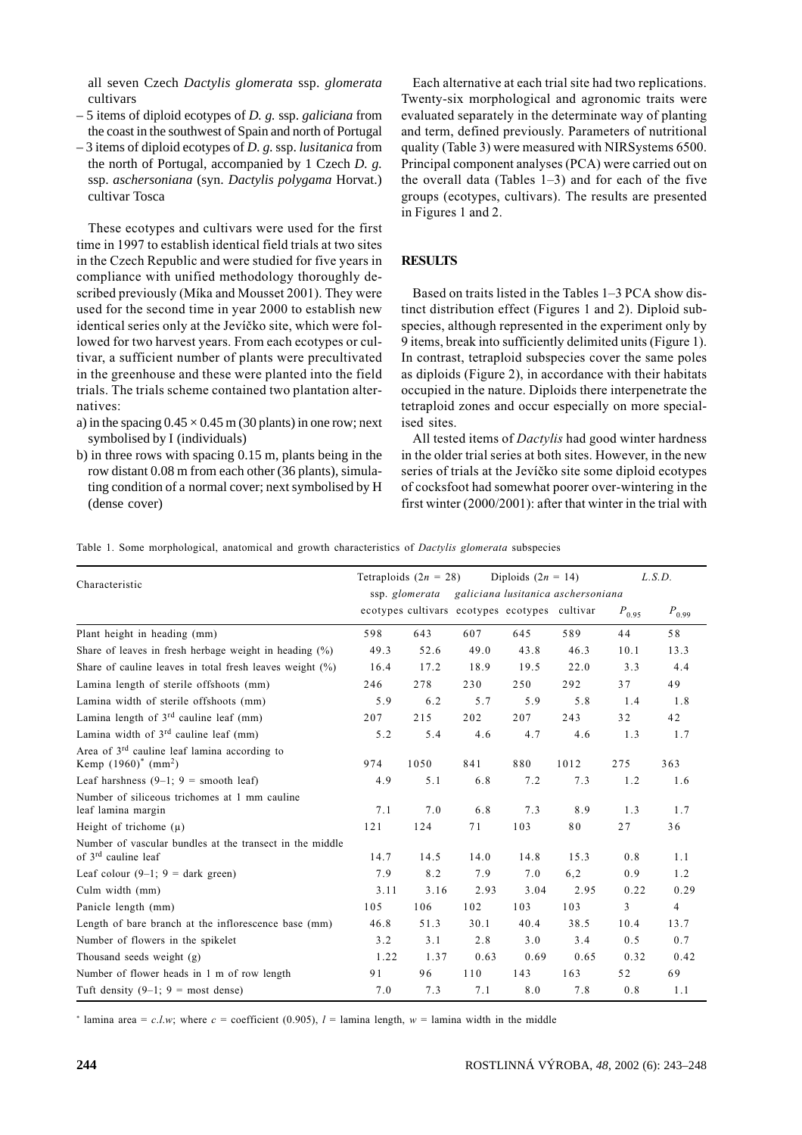all seven Czech Dactylis glomerata ssp. glomerata cultivars

- $-5$  items of diploid ecotypes of D. g. ssp. galiciana from the coast in the southwest of Spain and north of Portugal
- $-3$  items of diploid ecotypes of D, g, ssp. *lusitanica* from the north of Portugal, accompanied by 1 Czech  $D$ . g. ssp. aschersoniana (syn. Dactylis polygama Horvat.) cultivar Tosca

These ecotypes and cultivars were used for the first time in 1997 to establish identical field trials at two sites in the Czech Republic and were studied for five years in compliance with unified methodology thoroughly described previously (Míka and Mousset 2001). They were used for the second time in year 2000 to establish new identical series only at the Jevíčko site, which were followed for two harvest years. From each ecotypes or cultivar, a sufficient number of plants were precultivated in the greenhouse and these were planted into the field trials. The trials scheme contained two plantation alternatives:

- a) in the spacing  $0.45 \times 0.45$  m (30 plants) in one row; next symbolised by I (individuals)
- b) in three rows with spacing  $0.15$  m, plants being in the row distant 0.08 m from each other (36 plants), simulating condition of a normal cover; next symbolised by H (dense cover)

Each alternative at each trial site had two replications. Twenty-six morphological and agronomic traits were evaluated separately in the determinate way of planting and term, defined previously. Parameters of nutritional quality (Table 3) were measured with NIRS vstems 6500. Principal component analyses (PCA) were carried out on the overall data (Tables  $1-3$ ) and for each of the five groups (ecotypes, cultivars). The results are presented in Figures 1 and 2.

# **RESULTS**

Based on traits listed in the Tables 1–3 PCA show distinct distribution effect (Figures 1 and 2). Diploid subspecies, although represented in the experiment only by 9 items, break into sufficiently delimited units (Figure 1). In contrast, tetraploid subspecies cover the same poles as diploids (Figure 2), in accordance with their habitats occupied in the nature. Diploids there interpenetrate the tetraploid zones and occur especially on more specialised sites.

All tested items of *Dactylis* had good winter hardness in the older trial series at both sites. However, in the new series of trials at the Jevíčko site some diploid ecotypes of cocksfoot had somewhat poorer over-wintering in the first winter (2000/2001): after that winter in the trial with

Table 1. Some morphological, anatomical and growth characteristics of Dactylis glomerata subspecies

| Characteristic                                                                                 | Tetraploids $(2n = 28)$<br>Diploids $(2n = 14)$<br>galiciana lusitanica aschersoniana<br>ssp. glomerata |      |                                               |      |      | L.S.D.     |                |
|------------------------------------------------------------------------------------------------|---------------------------------------------------------------------------------------------------------|------|-----------------------------------------------|------|------|------------|----------------|
|                                                                                                |                                                                                                         |      | ecotypes cultivars ecotypes ecotypes cultivar |      |      | $P_{0.95}$ | $P_{0.99}$     |
| Plant height in heading (mm)                                                                   | 598                                                                                                     | 643  | 607                                           | 645  | 589  | 44         | 58             |
| Share of leaves in fresh herbage weight in heading $(\%)$                                      | 49.3                                                                                                    | 52.6 | 49.0                                          | 43.8 | 46.3 | 10.1       | 13.3           |
| Share of cauline leaves in total fresh leaves weight $(\%)$                                    | 16.4                                                                                                    | 17.2 | 18.9                                          | 19.5 | 22.0 | 3.3        | 4.4            |
| Lamina length of sterile offshoots (mm)                                                        | 246                                                                                                     | 278  | 230                                           | 250  | 292  | 37         | 49             |
| Lamina width of sterile offshoots (mm)                                                         | 5.9                                                                                                     | 6.2  | 5.7                                           | 5.9  | 5.8  | 1.4        | 1.8            |
| Lamina length of $3rd$ cauline leaf (mm)                                                       | 207                                                                                                     | 215  | 202                                           | 207  | 243  | 32         | 42             |
| Lamina width of $3rd$ cauline leaf (mm)                                                        | 5.2                                                                                                     | 5.4  | 4.6                                           | 4.7  | 4.6  | 1.3        | 1.7            |
| Area of 3 <sup>rd</sup> cauline leaf lamina according to<br>Kemp $(1960)^*$ (mm <sup>2</sup> ) | 974                                                                                                     | 1050 | 841                                           | 880  | 1012 | 275        | 363            |
| Leaf harshness $(9-1; 9 =$ smooth leaf)                                                        | 4.9                                                                                                     | 5.1  | 6.8                                           | 7.2  | 7.3  | 1.2        | 1.6            |
| Number of siliceous trichomes at 1 mm cauline<br>leaf lamina margin                            | 7.1                                                                                                     | 7.0  | 6.8                                           | 7.3  | 8.9  | 1.3        | 1.7            |
| Height of trichome $(\mu)$                                                                     | 121                                                                                                     | 124  | 71                                            | 103  | 80   | 27         | 36             |
| Number of vascular bundles at the transect in the middle<br>of 3 <sup>rd</sup> cauline leaf    | 14.7                                                                                                    | 14.5 | 14.0                                          | 14.8 | 15.3 | 0.8        | 1.1            |
| Leaf colour $(9-1; 9)$ = dark green)                                                           | 7.9                                                                                                     | 8.2  | 7.9                                           | 7.0  | 6,2  | 0.9        | 1.2            |
| Culm width (mm)                                                                                | 3.11                                                                                                    | 3.16 | 2.93                                          | 3.04 | 2.95 | 0.22       | 0.29           |
| Panicle length (mm)                                                                            | 105                                                                                                     | 106  | 102                                           | 103  | 103  | 3          | $\overline{4}$ |
| Length of bare branch at the inflorescence base (mm)                                           | 46.8                                                                                                    | 51.3 | 30.1                                          | 40.4 | 38.5 | 10.4       | 13.7           |
| Number of flowers in the spikelet                                                              | 3.2                                                                                                     | 3.1  | 2.8                                           | 3.0  | 3.4  | 0.5        | 0.7            |
| Thousand seeds weight (g)                                                                      | 1.22                                                                                                    | 1.37 | 0.63                                          | 0.69 | 0.65 | 0.32       | 0.42           |
| Number of flower heads in 1 m of row length                                                    | 91                                                                                                      | 96   | 110                                           | 143  | 163  | 52         | 69             |
| Tuft density $(9-1; 9 = \text{most dense})$                                                    | 7.0                                                                                                     | 7.3  | 7.1                                           | 8.0  | 7.8  | 0.8        | 1.1            |

<sup>\*</sup> lamina area = c.l.w; where c = coefficient (0.905),  $l$  = lamina length,  $w$  = lamina width in the middle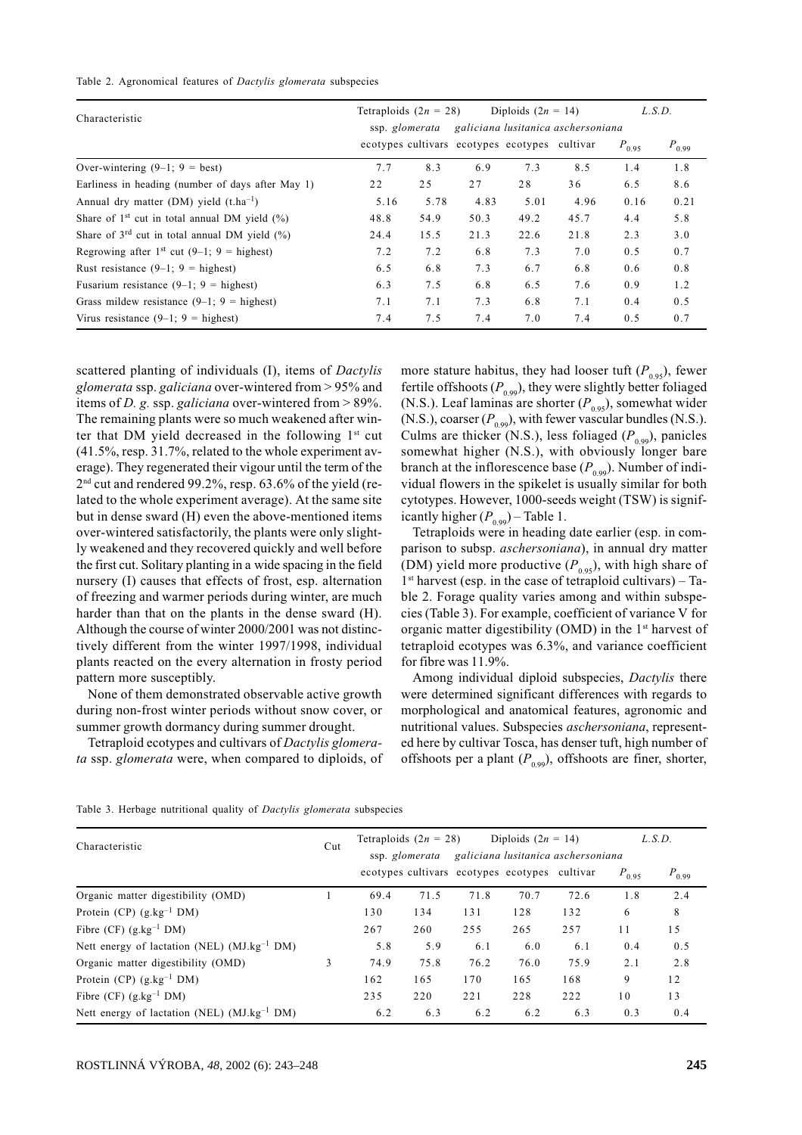#### Table 2. Agronomical features of Dactylis glomerata subspecies

| Characteristic                                         | Tetraploids $(2n = 28)$ |      | Diploids $(2n = 14)$                          |      |      | L.S.D.     |            |
|--------------------------------------------------------|-------------------------|------|-----------------------------------------------|------|------|------------|------------|
|                                                        | ssp. glomerata          |      | galiciana lusitanica aschersoniana            |      |      |            |            |
|                                                        |                         |      | ecotypes cultivars ecotypes ecotypes cultivar |      |      | $P_{0.95}$ | $P_{0.99}$ |
| Over-wintering $(9-1; 9 = best)$                       | 7.7                     | 8.3  | 6.9                                           | 7.3  | 8.5  | 1.4        | 1.8        |
| Earliness in heading (number of days after May 1)      | 22                      | 25   | 27                                            | 28   | 36   | 6.5        | 8.6        |
| Annual dry matter (DM) yield $(t.ha^{-1})$             | 5.16                    | 5.78 | 4.83                                          | 5.01 | 4.96 | 0.16       | 0.21       |
| Share of $1st$ cut in total annual DM yield $(\%)$     | 48.8                    | 54.9 | 50.3                                          | 49.2 | 45.7 | 4.4        | 5.8        |
| Share of $3^{rd}$ cut in total annual DM yield $(\%)$  | 24.4                    | 15.5 | 21.3                                          | 22.6 | 21.8 | 2.3        | 3.0        |
| Regrowing after 1 <sup>st</sup> cut (9–1; 9 = highest) | 7.2                     | 7.2  | 6.8                                           | 7.3  | 7.0  | 0.5        | 0.7        |
| Rust resistance $(9-1; 9)$ = highest)                  | 6.5                     | 6.8  | 7.3                                           | 6.7  | 6.8  | 0.6        | 0.8        |
| Fusarium resistance $(9-1; 9)$ = highest)              | 6.3                     | 7.5  | 6.8                                           | 6.5  | 7.6  | 0.9        | 1.2        |
| Grass mildew resistance $(9-1; 9)$ = highest)          | 7.1                     | 7.1  | 7.3                                           | 6.8  | 7.1  | 0.4        | 0.5        |
| Virus resistance $(9-1; 9)$ = highest)                 | 7.4                     | 7.5  | 7.4                                           | 7.0  | 7.4  | 0.5        | 0.7        |

scattered planting of individuals (I), items of *Dactylis* glomerata ssp. galiciana over-wintered from > 95% and items of *D*. g. ssp. galiciana over-wintered from  $> 89\%$ . The remaining plants were so much weakened after winter that DM yield decreased in the following 1<sup>st</sup> cut  $(41.5\%,$  resp. 31.7%, related to the whole experiment average). They regenerated their vigour until the term of the  $2<sup>nd</sup>$  cut and rendered 99.2%, resp. 63.6% of the yield (related to the whole experiment average). At the same site but in dense sward (H) even the above-mentioned items over-wintered satisfactorily, the plants were only slightly weakened and they recovered quickly and well before the first cut. Solitary planting in a wide spacing in the field nursery (I) causes that effects of frost, esp. alternation of freezing and warmer periods during winter, are much harder than that on the plants in the dense sward (H). Although the course of winter 2000/2001 was not distinctively different from the winter 1997/1998, individual plants reacted on the every alternation in frosty period pattern more susceptibly.

None of them demonstrated observable active growth during non-frost winter periods without snow cover, or summer growth dormancy during summer drought.

Tetraploid ecotypes and cultivars of Dactylis glomerata ssp. glomerata were, when compared to diploids, of more stature habitus, they had looser tuft  $(P_{0.95})$ , fewer fertile offshoots ( $P_{0.99}$ ), they were slightly better foliaged (N.S.). Leaf laminas are shorter  $(P_{0.95})$ , somewhat wider (N.S.), coarser  $(P_{0.99})$ , with fewer vascular bundles (N.S.). Culms are thicker (N.S.), less foliaged ( $P_{0.99}$ ), panicles somewhat higher (N.S.), with obviously longer bare branch at the inflorescence base  $(P_{0.99})$ . Number of individual flowers in the spikelet is usually similar for both cytotypes. However, 1000-seeds weight (TSW) is significantly higher  $(P_{0.99})$  – Table 1.

Tetraploids were in heading date earlier (esp. in comparison to subsp. *aschersoniana*), in annual dry matter (DM) yield more productive  $(P_{0.95})$ , with high share of  $1<sup>st</sup>$  harvest (esp. in the case of tetraploid cultivars) – Table 2. Forage quality varies among and within subspecies (Table 3). For example, coefficient of variance V for organic matter digestibility (OMD) in the 1<sup>st</sup> harvest of tetraploid ecotypes was 6.3%, and variance coefficient for fibre was 11.9%.

Among individual diploid subspecies, Dactylis there were determined significant differences with regards to morphological and anatomical features, agronomic and nutritional values. Subspecies *aschersoniana*, represented here by cultivar Tosca, has denser tuft, high number of offshoots per a plant  $(P_{0.99})$ , offshoots are finer, shorter,

| Characteristic                                          |   | Tetraploids $(2n = 28)$<br>Diploids $(2n = 14)$<br>galiciana lusitanica aschersoniana<br>ssp. glomerata |      |                                               |      | L.S.D. |            |            |
|---------------------------------------------------------|---|---------------------------------------------------------------------------------------------------------|------|-----------------------------------------------|------|--------|------------|------------|
|                                                         |   |                                                                                                         |      | ecotypes cultivars ecotypes ecotypes cultivar |      |        | $P_{0.95}$ | $P_{0.99}$ |
| Organic matter digestibility (OMD)                      |   | 69.4                                                                                                    | 71.5 | 71.8                                          | 70.7 | 72.6   | 1.8        | 2.4        |
| Protein (CP) $(g.kg^{-1}DM)$                            |   | 130                                                                                                     | 134  | 131                                           | 128  | 132    | 6          | 8          |
| Fibre (CF) $(g.kg^{-1}DM)$                              |   | 267                                                                                                     | 260  | 255                                           | 265  | 257    | 11         | 15         |
| Nett energy of lactation (NEL) $(MJ.kg^{-1}DM)$         |   | 5.8                                                                                                     | 5.9  | 6.1                                           | 6.0  | 6.1    | 0.4        | 0.5        |
| Organic matter digestibility (OMD)                      | 3 | 74.9                                                                                                    | 75.8 | 76.2                                          | 76.0 | 75.9   | 2.1        | 2.8        |
| Protein (CP) $(g.kg^{-1}DM)$                            |   | 162                                                                                                     | 165  | 170                                           | 165  | 168    | 9          | 12         |
| Fibre (CF) $(g.kg^{-1}DM)$                              |   | 235                                                                                                     | 220  | 221                                           | 228  | 222    | 10         | 13         |
| Nett energy of lactation (NEL) (MJ.kg <sup>-1</sup> DM) |   | 6.2                                                                                                     | 6.3  | 6.2                                           | 6.2  | 6.3    | 0.3        | 0.4        |

Table 3. Herbage nutritional quality of *Dactylis glomerata* subspecies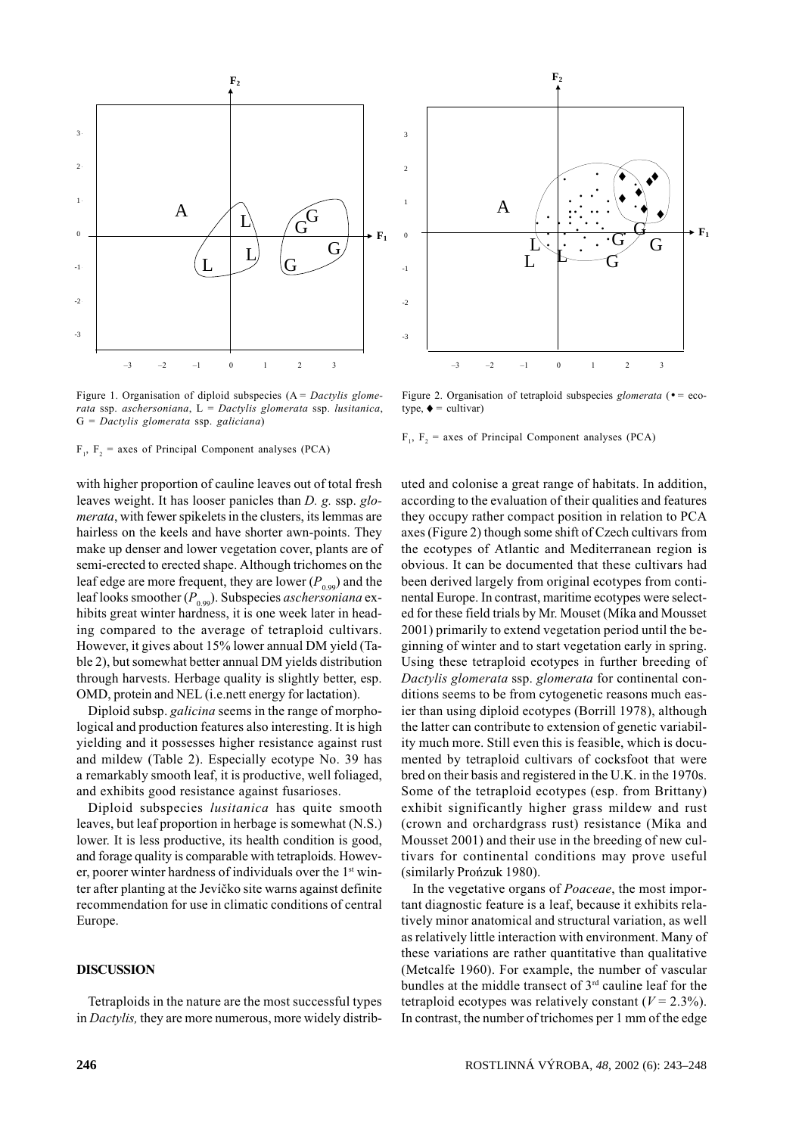

Figure 1. Organisation of diploid subspecies  $(A = D \text{actylis}$  glomerata ssp. aschersoniana,  $L =$  Dactylis glomerata ssp. lusitanica,  $G =$  Dactylis glomerata ssp. galiciana)

 $F_1$ ,  $F_2$  = axes of Principal Component analyses (PCA)

with higher proportion of cauline leaves out of total fresh leaves weight. It has looser panicles than  $D$ ,  $\varrho$ , ssp,  $\varrho$ *merata*, with fewer spikelets in the clusters, its lemmas are hairless on the keels and have shorter awn-points. They make up denser and lower vegetation cover, plants are of semi-erected to erected shape. Although trichomes on the leaf edge are more frequent, they are lower  $(P_{0.99})$  and the leaf looks smoother  $(P_{0.99})$ . Subspecies *aschersoniana* exhibits great winter hardness, it is one week later in heading compared to the average of tetraploid cultivars. However, it gives about 15% lower annual DM yield (Table 2), but somewhat better annual DM yields distribution through harvests. Herbage quality is slightly better, esp. OMD, protein and NEL (i.e.nett energy for lactation).

Diploid subsp. *galicina* seems in the range of morphological and production features also interesting. It is high yielding and it possesses higher resistance against rust and mildew (Table 2). Especially ecotype No. 39 has a remarkably smooth leaf, it is productive, well foliaged, and exhibits good resistance against fusarioses.

Diploid subspecies lusitanica has quite smooth leaves, but leaf proportion in herbage is somewhat (N.S.) lower. It is less productive, its health condition is good, and forage quality is comparable with tetraploids. However, poorer winter hardness of individuals over the 1<sup>st</sup> winter after planting at the Jevíčko site warns against definite recommendation for use in climatic conditions of central Europe.

# **DISCUSSION**

Tetraploids in the nature are the most successful types in Dactylis, they are more numerous, more widely distrib-



Figure 2. Organisation of tetraploid subspecies *glomerata* ( $\bullet =$  ecotype.  $\bullet$  = cultivar)

 $F_1$ ,  $F_2$  = axes of Principal Component analyses (PCA)

uted and colonise a great range of habitats. In addition, according to the evaluation of their qualities and features they occupy rather compact position in relation to PCA axes (Figure 2) though some shift of Czech cultivars from the ecotypes of Atlantic and Mediterranean region is obvious. It can be documented that these cultivars had been derived largely from original ecotypes from continental Europe. In contrast, maritime ecotypes were selected for these field trials by Mr. Mouset (Míka and Mousset 2001) primarily to extend vegetation period until the beginning of winter and to start vegetation early in spring. Using these tetraploid ecotypes in further breeding of Dactylis glomerata ssp. glomerata for continental conditions seems to be from cytogenetic reasons much easier than using diploid ecotypes (Borrill 1978), although the latter can contribute to extension of genetic variability much more. Still even this is feasible, which is documented by tetraploid cultivars of cocksfoot that were bred on their basis and registered in the U.K. in the 1970s. Some of the tetraploid ecotypes (esp. from Brittany) exhibit significantly higher grass mildew and rust (crown and orchardgrass rust) resistance (Mika and Mousset 2001) and their use in the breeding of new cultivars for continental conditions may prove useful (similarly Prońzuk 1980).

In the vegetative organs of *Poaceae*, the most important diagnostic feature is a leaf, because it exhibits relatively minor anatomical and structural variation, as well as relatively little interaction with environment. Many of these variations are rather quantitative than qualitative (Metcalfe 1960). For example, the number of vascular bundles at the middle transect of  $3^{rd}$  cauline leaf for the tetraploid ecotypes was relatively constant ( $V = 2.3\%$ ). In contrast, the number of trichomes per 1 mm of the edge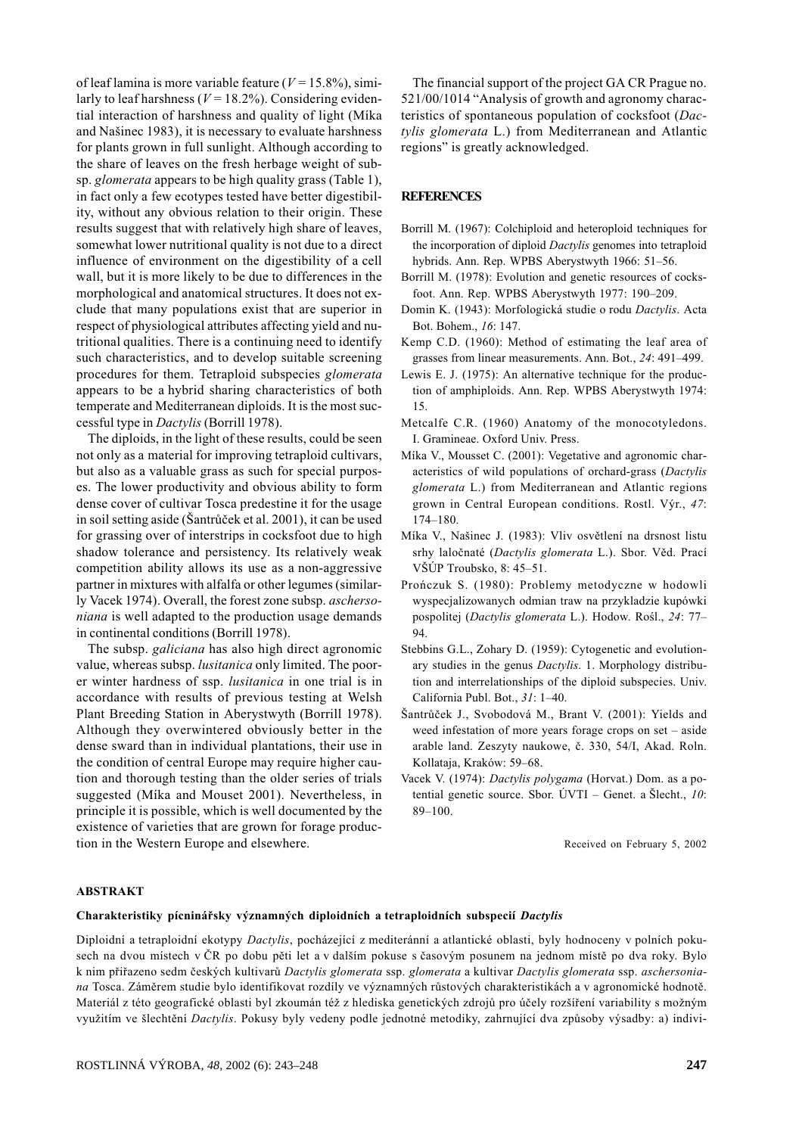of leaf lamina is more variable feature ( $V = 15.8\%$ ), similarly to leaf harshness ( $V = 18.2\%$ ). Considering evidential interaction of harshness and quality of light (Míka and Našinec 1983), it is necessary to evaluate harshness for plants grown in full sunlight. Although according to the share of leaves on the fresh herbage weight of subsp. glomerata appears to be high quality grass (Table 1), in fact only a few ecotypes tested have better digestibility, without any obvious relation to their origin. These results suggest that with relatively high share of leaves, somewhat lower nutritional quality is not due to a direct influence of environment on the digestibility of a cell wall, but it is more likely to be due to differences in the morphological and anatomical structures. It does not exclude that many populations exist that are superior in respect of physiological attributes affecting vield and nutritional qualities. There is a continuing need to identify such characteristics, and to develop suitable screening procedures for them. Tetraploid subspecies glomerata appears to be a hybrid sharing characteristics of both temperate and Mediterranean diploids. It is the most successful type in *Dactylis* (Borrill 1978).

The diploids, in the light of these results, could be seen not only as a material for improving tetraploid cultivars, but also as a valuable grass as such for special purposes. The lower productivity and obvious ability to form dense cover of cultivar Tosca predestine it for the usage in soil setting aside (Šantrůček et al. 2001), it can be used for grassing over of interstrips in cocksfoot due to high shadow tolerance and persistency. Its relatively weak competition ability allows its use as a non-aggressive partner in mixtures with alfalfa or other legumes (similarly Vacek 1974). Overall, the forest zone subsp. *aschersoniana* is well adapted to the production usage demands in continental conditions (Borrill 1978).

The subsp. *galiciana* has also high direct agronomic value, whereas subsp. *lusitanica* only limited. The poorer winter hardness of ssp. *lusitanica* in one trial is in accordance with results of previous testing at Welsh Plant Breeding Station in Aberystwyth (Borrill 1978). Although they overwintered obviously better in the dense sward than in individual plantations, their use in the condition of central Europe may require higher caution and thorough testing than the older series of trials suggested (Míka and Mouset 2001). Nevertheless, in principle it is possible, which is well documented by the existence of varieties that are grown for forage production in the Western Europe and elsewhere.

The financial support of the project GA CR Prague no. 521/00/1014 "Analysis of growth and agronomy characteristics of spontaneous population of cocksfoot (Dactylis glomerata L.) from Mediterranean and Atlantic regions" is greatly acknowledged.

# **REFERENCES**

- Borrill M. (1967): Colchiploid and heteroploid techniques for the incorporation of diploid *Dactylis* genomes into tetraploid hybrids. Ann. Rep. WPBS Aberystwyth 1966: 51–56.
- Borrill M. (1978): Evolution and genetic resources of cocksfoot. Ann. Rep. WPBS Aberystwyth 1977: 190-209.
- Domin K. (1943): Morfologická studie o rodu Dactylis. Acta Bot. Bohem., 16: 147.
- Kemp C.D. (1960): Method of estimating the leaf area of grasses from linear measurements. Ann. Bot., 24: 491-499.
- Lewis E. J. (1975): An alternative technique for the production of amphiploids. Ann. Rep. WPBS Aberystwyth 1974: 15
- Metcalfe C.R. (1960) Anatomy of the monocotyledons. I. Gramineae. Oxford Univ. Press.
- Míka V., Mousset C. (2001): Vegetative and agronomic characteristics of wild populations of orchard-grass (Dactylis glomerata L.) from Mediterranean and Atlantic regions grown in Central European conditions. Rostl. Výr., 47:  $174 - 180.$
- Míka V., Našinec J. (1983): Vliv osvětlení na drsnost listu srhy laločnaté (Dactylis glomerata L.). Sbor. Věd. Prací VŠÚP Troubsko, 8: 45–51.
- Prończuk S. (1980): Problemy metodyczne w hodowli wyspecjalizowanych odmian traw na przykladzie kupówki pospolitej (Dactylis glomerata L.). Hodow. Rośl., 24: 77-94
- Stebbins G.L., Zohary D. (1959): Cytogenetic and evolutionary studies in the genus Dactylis. 1. Morphology distribution and interrelationships of the diploid subspecies. Univ. California Publ. Bot., 31: 1-40.
- Šantrůček J., Svobodová M., Brant V. (2001): Yields and weed infestation of more years forage crops on set - aside arable land. Zeszyty naukowe, č. 330, 54/I, Akad. Roln. Kollataja, Kraków: 59-68.
- Vacek V. (1974): Dactylis polygama (Horvat.) Dom. as a potential genetic source. Sbor.  $\dot{U}VTI$  – Genet. a Slecht., 10:  $89 - 100.$

Received on February 5, 2002

## **ABSTRAKT**

### Charakteristiky pícninářsky významných diploidních a tetraploidních subspecií Dactylis

Diploidní a tetraploidní ekotypy Dactylis, pocházející z mediteránní a atlantické oblasti, byly hodnoceny v polních pokusech na dvou místech v ČR po dobu pěti let a v dalším pokuse s časovým posunem na jednom místě po dva roky. Bylo k nim přiřazeno sedm českých kultivarů Dactylis glomerata ssp. glomerata a kultivar Dactylis glomerata ssp. aschersoniana Tosca. Záměrem studie bylo identifikovat rozdíly ve významných růstových charakteristikách a v agronomické hodnotě. Materiál z této geografické oblasti byl zkoumán též z hlediska genetických zdrojů pro účely rozšíření variability s možným využitím ve šlechtění Dactylis. Pokusy byly vedeny podle jednotné metodiky, zahrnující dva způsoby výsadby: a) indivi-